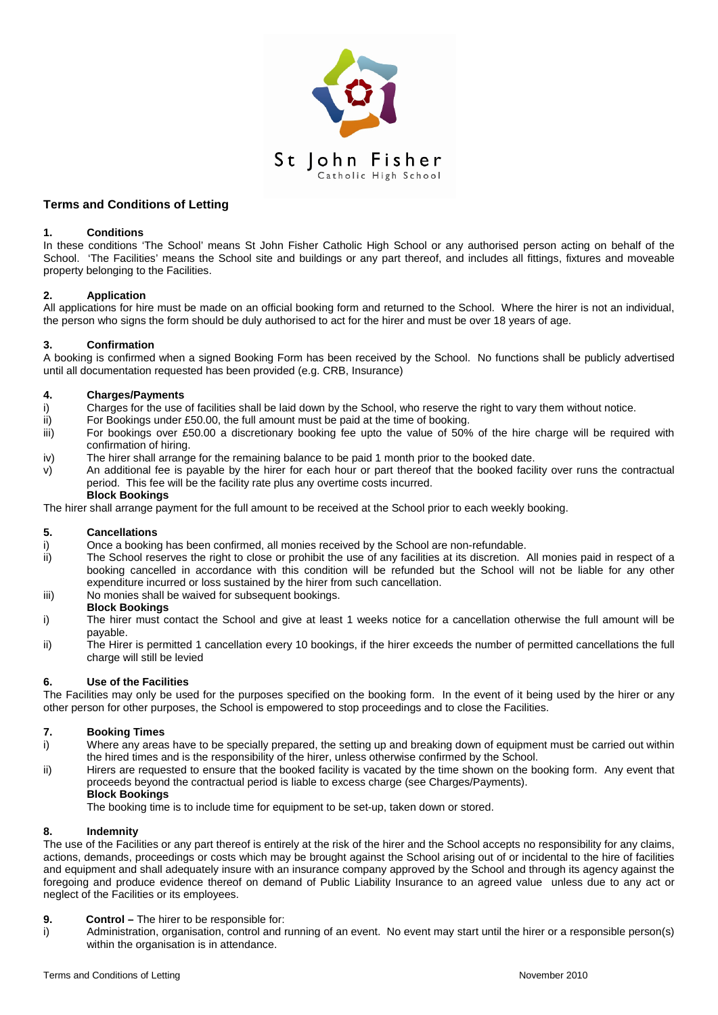

## **Terms and Conditions of Letting**

## **1. Conditions**

In these conditions 'The School' means St John Fisher Catholic High School or any authorised person acting on behalf of the School. 'The Facilities' means the School site and buildings or any part thereof, and includes all fittings, fixtures and moveable property belonging to the Facilities.

## **2. Application**

All applications for hire must be made on an official booking form and returned to the School. Where the hirer is not an individual, the person who signs the form should be duly authorised to act for the hirer and must be over 18 years of age.

## **3. Confirmation**

A booking is confirmed when a signed Booking Form has been received by the School. No functions shall be publicly advertised until all documentation requested has been provided (e.g. CRB, Insurance)

## **4. Charges/Payments**

- i) Charges for the use of facilities shall be laid down by the School, who reserve the right to vary them without notice.<br>ii) For Bookings under £50.00, the full amount must be paid at the time of booking.
- For Bookings under £50.00, the full amount must be paid at the time of booking.
- iii) For bookings over £50.00 a discretionary booking fee upto the value of 50% of the hire charge will be required with confirmation of hiring.
- iv) The hirer shall arrange for the remaining balance to be paid 1 month prior to the booked date.
- v) An additional fee is payable by the hirer for each hour or part thereof that the booked facility over runs the contractual period. This fee will be the facility rate plus any overtime costs incurred.

## **Block Bookings**

The hirer shall arrange payment for the full amount to be received at the School prior to each weekly booking.

# **5. Cancellations**

- Once a booking has been confirmed, all monies received by the School are non-refundable.
- ii) The School reserves the right to close or prohibit the use of any facilities at its discretion. All monies paid in respect of a booking cancelled in accordance with this condition will be refunded but the School will not be liable for any other expenditure incurred or loss sustained by the hirer from such cancellation.
- iii) No monies shall be waived for subsequent bookings.

## **Block Bookings**

- i) The hirer must contact the School and give at least 1 weeks notice for a cancellation otherwise the full amount will be payable.
- ii) The Hirer is permitted 1 cancellation every 10 bookings, if the hirer exceeds the number of permitted cancellations the full charge will still be levied

## **6. Use of the Facilities**

The Facilities may only be used for the purposes specified on the booking form. In the event of it being used by the hirer or any other person for other purposes, the School is empowered to stop proceedings and to close the Facilities.

# **7. Booking Times**

- Where any areas have to be specially prepared, the setting up and breaking down of equipment must be carried out within the hired times and is the responsibility of the hirer, unless otherwise confirmed by the School.
- ii) Hirers are requested to ensure that the booked facility is vacated by the time shown on the booking form. Any event that proceeds beyond the contractual period is liable to excess charge (see Charges/Payments).

**Block Bookings**

The booking time is to include time for equipment to be set-up, taken down or stored.

## **8. Indemnity**

The use of the Facilities or any part thereof is entirely at the risk of the hirer and the School accepts no responsibility for any claims, actions, demands, proceedings or costs which may be brought against the School arising out of or incidental to the hire of facilities and equipment and shall adequately insure with an insurance company approved by the School and through its agency against the foregoing and produce evidence thereof on demand of Public Liability Insurance to an agreed value unless due to any act or neglect of the Facilities or its employees.

- **9. Control –** The hirer to be responsible for:
- i) Administration, organisation, control and running of an event. No event may start until the hirer or a responsible person(s) within the organisation is in attendance.